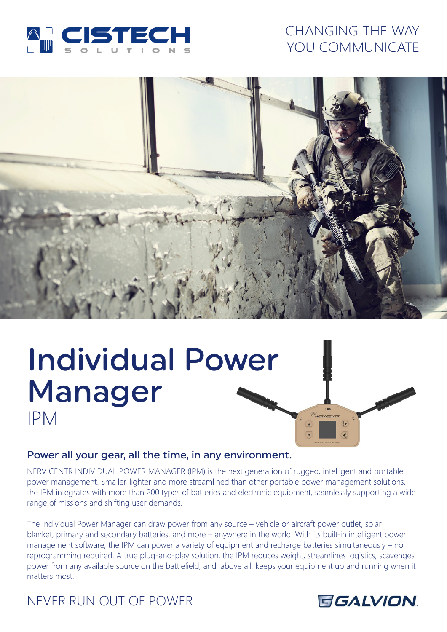

# CHANGING THE WAY YOU COMMUNICATE



# Individual Power Manager IPM

# Power all your gear, all the time, in any environment.

NERV CENTR INDIVIDUAL POWER MANAGER (IPM) is the next generation of rugged, intelligent and portable power management. Smaller, lighter and more streamlined than other portable power management solutions, the IPM integrates with more than 200 types of batteries and electronic equipment, seamlessly supporting a wide range of missions and shifting user demands.

The Individual Power Manager can draw power from any source – vehicle or aircraft power outlet, solar blanket, primary and secondary batteries, and more – anywhere in the world. With its built-in intelligent power management software, the IPM can power a variety of equipment and recharge batteries simultaneously – no reprogramming required. A true plug-and-play solution, the IPM reduces weight, streamlines logistics, scavenges power from any available source on the battlefield, and, above all, keeps your equipment up and running when it matters most.

# NEVER RUN OUT OF POWER



 $\frac{1}{2}$